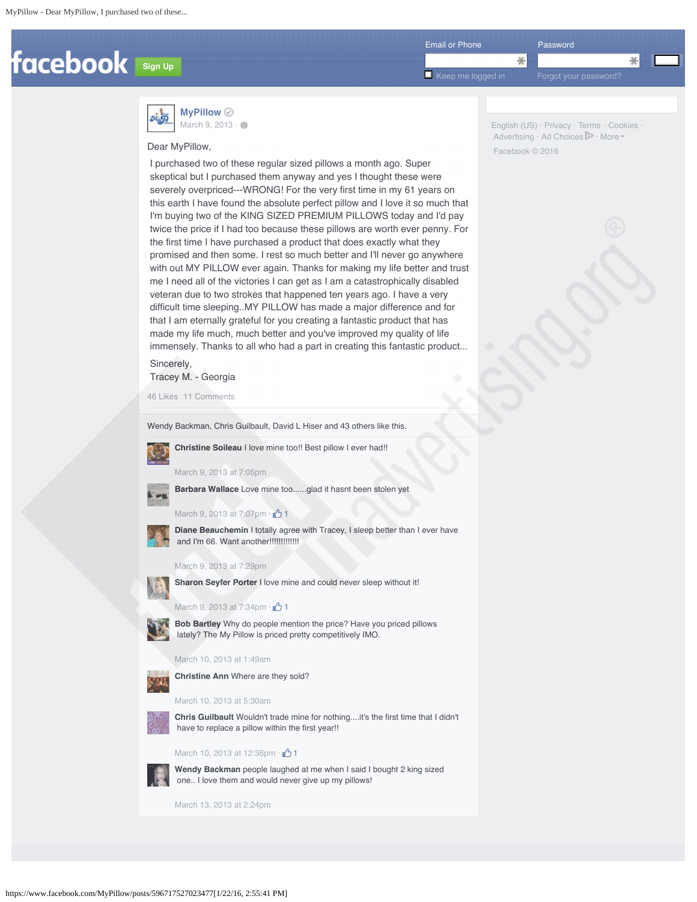

English (US) · Privacy · Terms · Cookies · Advertising · Ad Choices **P** · More

Facebook © 2016



**MyPillow** March 9, 2013 · ●

## Dear MyPillow,

I purchased two of these regular sized pillows a month ago. Super skeptical but I purchased them anyway and yes I thought these were severely overpriced---WRONG! For the very first time in my 61 years on this earth I have found the absolute perfect pillow and I love it so much that I'm buying two of the KING SIZED PREMIUM PILLOWS today and I'd pay twice the price if I had too because these pillows are worth ever penny. For the first time I have purchased a product that does exactly what they promised and then some. I rest so much better and I'll never go anywhere with out MY PILLOW ever again. Thanks for making my life better and trust me I need all of the victories I can get as I am a catastrophically disabled veteran due to two strokes that happened ten years ago. I have a very difficult time sleeping..MY PILLOW has made a major difference and for that I am eternally grateful for you creating a fantastic product that has made my life much, much better and you've improved my quality of life immensely. Thanks to all who had a part in creating this fantastic product...

# Sincerely, Tracey M. - Georgia

46 Likes 11 Comments

Wendy Backman, Chris Guilbault, David L Hiser and 43 others like this.



**Christine Soileau** I love mine too!! Best pillow I ever had!!

**Barbara Wallace** Love mine too......glad it hasnt been stolen yet

March 9, 2013 at 7:05pm



March 9, 2013 at 7:07pm  $\cdot$   $\cdot$  1



**Diane Beauchemin** I totally agree with Tracey, I sleep better than I ever have and I'm 66. Want another!!!!!!!!!!!!!

#### March 9, 2013 at 7:29pm



**Sharon Seyfer Porter** I love mine and could never sleep without it!



March 9, 2013 at 7:34pm · <sup>1</sup>1



**Bob Bartley** Why do people mention the price? Have you priced pillows lately? The My Pillow is priced pretty competitively IMO.

#### March 10, 2013 at 1:49am



March 10, 2013 at 5:30am



**Chris Guilbault** Wouldn't trade mine for nothing....it's the first time that I didn't have to replace a pillow within the first year!!

### March 10, 2013 at 12:36pm  $\cdot$   $\uparrow$  1



**Wendy Backman** people laughed at me when I said I bought 2 king sized one.. I love them and would never give up my pillows!

March 13, 2013 at 2:24pm